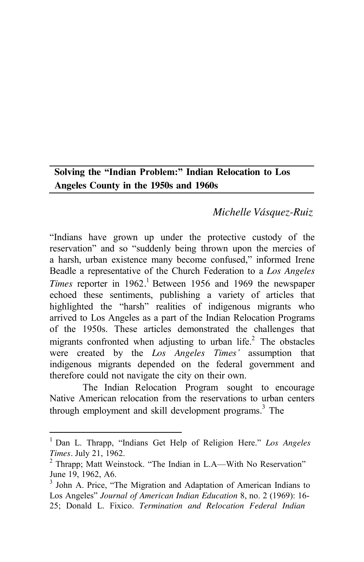# **Solving the "Indian Problem:" Indian Relocation to Los Angeles County in the 1950s and 1960s**

# *Michelle Vásquez-Ruiz*

"Indians have grown up under the protective custody of the reservation" and so "suddenly being thrown upon the mercies of a harsh, urban existence many become confused," informed Irene Beadle a representative of the Church Federation to a *Los Angeles Times* reporter in 1962.<sup>1</sup> Between 1956 and 1969 the newspaper echoed these sentiments, publishing a variety of articles that highlighted the "harsh" realities of indigenous migrants who arrived to Los Angeles as a part of the Indian Relocation Programs of the 1950s. These articles demonstrated the challenges that migrants confronted when adjusting to urban life. $^{2}$  The obstacles were created by the *Los Angeles Times'* assumption that indigenous migrants depended on the federal government and therefore could not navigate the city on their own.

The Indian Relocation Program sought to encourage Native American relocation from the reservations to urban centers through employment and skill development programs.<sup>3</sup> The

<sup>1</sup> Dan L. Thrapp, "Indians Get Help of Religion Here." *Los Angeles Times.* July 21, 1962.<br><sup>2</sup> Thrapp; Matt Weinstock. "The Indian in L.A—With No Reservation"

June 19, 1962, A6.

<sup>&</sup>lt;sup>3</sup> John A. Price, "The Migration and Adaptation of American Indians to Los Angeles" *Journal of American Indian Education* 8, no. 2 (1969): 16- 25; Donald L. Fixico. *Termination and Relocation Federal Indian*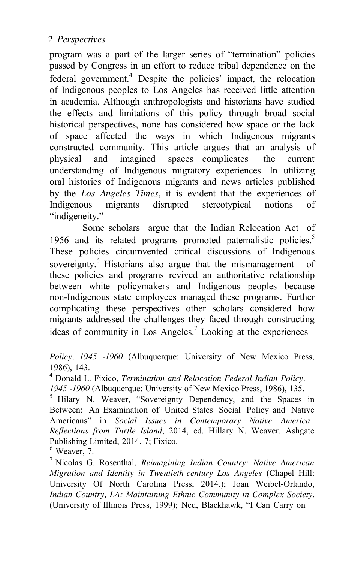program was a part of the larger series of "termination" policies passed by Congress in an effort to reduce tribal dependence on the federal government.<sup>4</sup> Despite the policies' impact, the relocation of Indigenous peoples to Los Angeles has received little attention in academia. Although anthropologists and historians have studied the effects and limitations of this policy through broad social historical perspectives, none has considered how space or the lack of space affected the ways in which Indigenous migrants constructed community. This article argues that an analysis of physical and imagined spaces complicates the current understanding of Indigenous migratory experiences. In utilizing oral histories of Indigenous migrants and news articles published by the *Los Angeles Times*, it is evident that the experiences of Indigenous migrants disrupted stereotypical notions of "indigeneity."

Some scholars argue that the Indian Relocation Act of 1956 and its related programs promoted paternalistic policies.<sup>5</sup> These policies circumvented critical discussions of Indigenous sovereignty.<sup>6</sup> Historians also argue that the mismanagement of these policies and programs revived an authoritative relationship between white policymakers and Indigenous peoples because non-Indigenous state employees managed these programs. Further complicating these perspectives other scholars considered how migrants addressed the challenges they faced through constructing ideas of community in Los Angeles.<sup>7</sup> Looking at the experiences

*Policy, 1945 -1960* (Albuquerque: University of New Mexico Press, 1986), 143.

<sup>4</sup> Donald L. Fixico, *Termination and Relocation Federal Indian Policy, 1945 -1960* (Albuquerque: University of New Mexico Press, 1986), 135.<br><sup>5</sup> Hilary N. Weaver, "Sovereignty Dependency, and the Spaces in

Between: An Examination of United States Social Policy and Native Americans" in *Social Issues in Contemporary Native America Reflections from Turtle Island*, 2014, ed. Hillary N. Weaver. Ashgate Publishing Limited, 2014, 7; Fixico.<br><sup>6</sup> Weaver, 7.

<sup>7</sup> Nicolas G. Rosenthal, *Reimagining Indian Country: Native American Migration and Identity in Twentieth-century Los Angeles* (Chapel Hill: University Of North Carolina Press, 2014.); Joan Weibel-Orlando, *Indian Country, LA: Maintaining Ethnic Community in Complex Society.*  (University of Illinois Press, 1999); Ned, Blackhawk, "I Can Carry on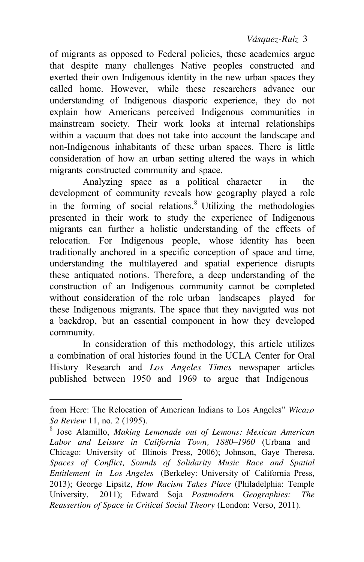*Vásquez-Ruiz* 3

of migrants as opposed to Federal policies, these academics argue that despite many challenges Native peoples constructed and exerted their own Indigenous identity in the new urban spaces they called home. However, while these researchers advance our understanding of Indigenous diasporic experience, they do not explain how Americans perceived Indigenous communities in mainstream society. Their work looks at internal relationships within a vacuum that does not take into account the landscape and non-Indigenous inhabitants of these urban spaces. There is little consideration of how an urban setting altered the ways in which migrants constructed community and space.

Analyzing space as a political character in the development of community reveals how geography played a role in the forming of social relations.<sup>8</sup> Utilizing the methodologies presented in their work to study the experience of Indigenous migrants can further a holistic understanding of the effects of relocation. For Indigenous people, whose identity has been traditionally anchored in a specific conception of space and time, understanding the multilayered and spatial experience disrupts these antiquated notions. Therefore, a deep understanding of the construction of an Indigenous community cannot be completed without consideration of the role urban landscapes played for these Indigenous migrants. The space that they navigated was not a backdrop, but an essential component in how they developed community.

In consideration of this methodology, this article utilizes a combination of oral histories found in the UCLA Center for Oral History Research and *Los Angeles Times* newspaper articles published between 1950 and 1969 to argue that Indigenous

from Here: The Relocation of American Indians to Los Angeles" *Wicazo Sa Review* 11, no. 2 (1995). 8 Jose Alamillo, *Making Lemonade out of Lemons: Mexican American*

*Labor and Leisure in California Town, 1880–1960* (Urbana and Chicago: University of Illinois Press, 2006); Johnson, Gaye Theresa. *Spaces of Conflict, Sounds of Solidarity Music Race and Spatial Entitlement in Los Angeles* (Berkeley: University of California Press, 2013); George Lipsitz, *How Racism Takes Place* (Philadelphia: Temple University, 2011); Edward Soja *Postmodern Geographies: The Reassertion of Space in Critical Social Theory* (London: Verso, 2011).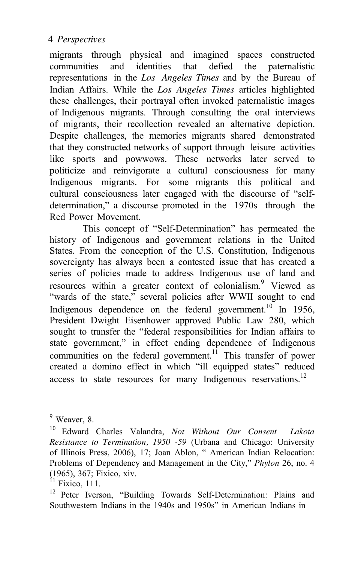migrants through physical and imagined spaces constructed communities and identities that defied the paternalistic representations in the *Los Angeles Times* and by the Bureau of Indian Affairs. While the *Los Angeles Times* articles highlighted these challenges, their portrayal often invoked paternalistic images of Indigenous migrants. Through consulting the oral interviews of migrants, their recollection revealed an alternative depiction. Despite challenges, the memories migrants shared demonstrated that they constructed networks of support through leisure activities like sports and powwows. These networks later served to politicize and reinvigorate a cultural consciousness for many Indigenous migrants. For some migrants this political and cultural consciousness later engaged with the discourse of "selfdetermination," a discourse promoted in the 1970s through the Red Power Movement.

This concept of "Self-Determination" has permeated the history of Indigenous and government relations in the United States. From the conception of the U.S. Constitution, Indigenous sovereignty has always been a contested issue that has created a series of policies made to address Indigenous use of land and resources within a greater context of colonialism.<sup>9</sup> Viewed as "wards of the state," several policies after WWII sought to end Indigenous dependence on the federal government.<sup>10</sup> In 1956, President Dwight Eisenhower approved Public Law 280, which sought to transfer the "federal responsibilities for Indian affairs to state government," in effect ending dependence of Indigenous communities on the federal government.<sup>11</sup> This transfer of power created a domino effect in which "ill equipped states" reduced access to state resources for many Indigenous reservations.<sup>12</sup>

<sup>&</sup>lt;sup>9</sup> Weaver, 8.

<sup>10</sup> Edward Charles Valandra, *Not Without Our Consent Lakota Resistance to Termination, 1950 -59* (Urbana and Chicago: University of Illinois Press, 2006), 17; Joan Ablon, " American Indian Relocation: Problems of Dependency and Management in the City," *Phylon* 26, no. 4 (1965), 367; Fixico, xiv.

 $11$  Fixico, 111.

<sup>&</sup>lt;sup>12</sup> Peter Iverson, "Building Towards Self-Determination: Plains and Southwestern Indians in the 1940s and 1950s" in American Indians in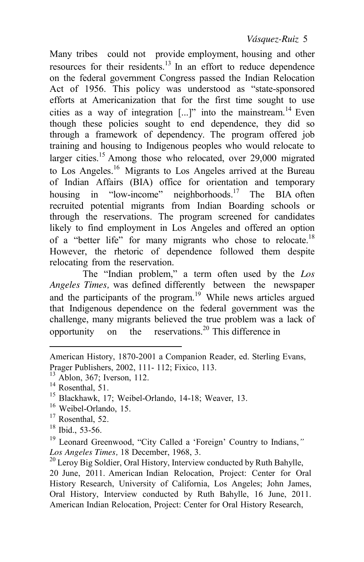#### *Vásquez-Ruiz* 5

Many tribes could not provide employment, housing and other resources for their residents.<sup>13</sup> In an effort to reduce dependence on the federal government Congress passed the Indian Relocation Act of 1956. This policy was understood as "state-sponsored efforts at Americanization that for the first time sought to use cities as a way of integration  $[...]$ " into the mainstream.<sup>14</sup> Even though these policies sought to end dependence, they did so through a framework of dependency. The program offered job training and housing to Indigenous peoples who would relocate to larger cities.<sup>15</sup> Among those who relocated, over  $29,000$  migrated to Los Angeles.16 Migrants to Los Angeles arrived at the Bureau of Indian Affairs (BIA) office for orientation and temporary housing in "low-income" neighborhoods.<sup>17</sup> The BIA often recruited potential migrants from Indian Boarding schools or through the reservations. The program screened for candidates likely to find employment in Los Angeles and offered an option of a "better life" for many migrants who chose to relocate.<sup>18</sup> However, the rhetoric of dependence followed them despite relocating from the reservation.

The "Indian problem," a term often used by the *Los Angeles Times,* was defined differently between the newspaper and the participants of the program. $19$  While news articles argued that Indigenous dependence on the federal government was the challenge, many migrants believed the true problem was a lack of opportunity on the reservations.<sup>20</sup> This difference in

 $^{17}$  Rosenthal, 52.<br><sup>18</sup> Ibid., 53-56.

20 June, 2011. American Indian Relocation, Project: Center for Oral History Research, University of California, Los Angeles; John James, Oral History, Interview conducted by Ruth Bahylle, 16 June, 2011. American Indian Relocation, Project: Center for Oral History Research,

American History, 1870-2001 a Companion Reader, ed. Sterling Evans,

Prager Publishers, 2002, 111- 112; Fixico, 113.<br><sup>13</sup> Ablon, 367; Iverson, 112.<br><sup>14</sup> Rosenthal, 51.<br><sup>15</sup> Blackhawk, 17; Weibel-Orlando, 14-18; Weaver, 13.<br><sup>16</sup> Weibel-Orlando, 15.

<sup>&</sup>lt;sup>19</sup> Leonard Greenwood, "City Called a 'Foreign' Country to Indians," *Los Angeles Times, 18 December, 1968, 3.* <sup>20</sup> Leroy Big Soldier, Oral History, Interview conducted by Ruth Bahylle,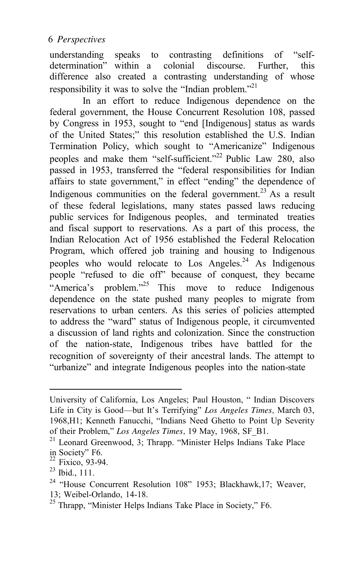understanding speaks to contrasting definitions of "selfdetermination" within a colonial discourse. Further, this difference also created a contrasting understanding of whose responsibility it was to solve the "Indian problem."<sup>21</sup>

In an effort to reduce Indigenous dependence on the federal government, the House Concurrent Resolution 108, passed by Congress in 1953, sought to "end [Indigenous] status as wards of the United States;" this resolution established the U.S. Indian Termination Policy, which sought to "Americanize" Indigenous peoples and make them "self-sufficient."<sup>22</sup> Public Law 280, also passed in 1953, transferred the "federal responsibilities for Indian affairs to state government," in effect "ending" the dependence of Indigenous communities on the federal government.<sup>23</sup> As a result of these federal legislations, many states passed laws reducing public services for Indigenous peoples, and terminated treaties and fiscal support to reservations. As a part of this process, the Indian Relocation Act of 1956 established the Federal Relocation Program, which offered job training and housing to Indigenous peoples who would relocate to Los Angeles.<sup>24</sup> As Indigenous people "refused to die off" because of conquest, they became "America's problem."<sup>25</sup> This move to reduce Indigenous dependence on the state pushed many peoples to migrate from reservations to urban centers. As this series of policies attempted to address the "ward" status of Indigenous people, it circumvented a discussion of land rights and colonization. Since the construction of the nation-state, Indigenous tribes have battled for the recognition of sovereignty of their ancestral lands. The attempt to "urbanize" and integrate Indigenous peoples into the nation-state

University of California, Los Angeles; Paul Houston, " Indian Discovers Life in City is Good—but It's Terrifying" *Los Angeles Times,* March 03, 1968,H1; Kenneth Fanucchi, "Indians Need Ghetto to Point Up Severity of their Problem," Los Angeles Times, 19 May, 1968, SF B1.

<sup>&</sup>lt;sup>21</sup> Leonard Greenwood, 3; Thrapp. "Minister Helps Indians Take Place in Society" F6.<br><sup>22</sup> Fixico, 93-94.<br><sup>23</sup> Ibid., 111.

<sup>&</sup>lt;sup>24</sup> "House Concurrent Resolution 108" 1953; Blackhawk, 17; Weaver, 13; Weibel-Orlando, 14-18. 25 Thrapp, "Minister Helps Indians Take Place in Society," F6.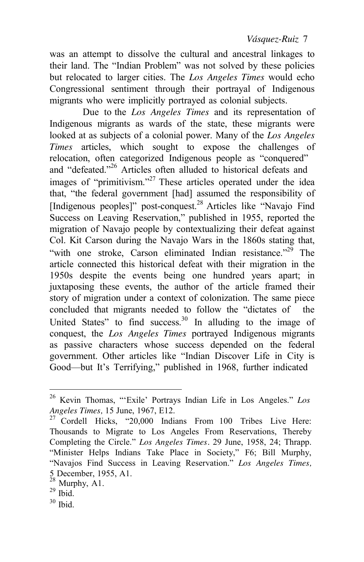was an attempt to dissolve the cultural and ancestral linkages to their land. The "Indian Problem" was not solved by these policies but relocated to larger cities. The *Los Angeles Times* would echo Congressional sentiment through their portrayal of Indigenous migrants who were implicitly portrayed as colonial subjects.

Due to the *Los Angeles Times* and its representation of Indigenous migrants as wards of the state, these migrants were looked at as subjects of a colonial power. Many of the *Los Angeles Times* articles, which sought to expose the challenges of relocation, often categorized Indigenous people as "conquered" and "defeated."26 Articles often alluded to historical defeats and images of "primitivism."<sup>27</sup> These articles operated under the idea that, "the federal government [had] assumed the responsibility of [Indigenous peoples]" post-conquest.<sup>28</sup> Articles like "Navajo Find" Success on Leaving Reservation," published in 1955, reported the migration of Navajo people by contextualizing their defeat against Col. Kit Carson during the Navajo Wars in the 1860s stating that, "with one stroke, Carson eliminated Indian resistance."<sup>29</sup> The article connected this historical defeat with their migration in the 1950s despite the events being one hundred years apart; in juxtaposing these events, the author of the article framed their story of migration under a context of colonization. The same piece concluded that migrants needed to follow the "dictates of the United States" to find success.<sup>30</sup> In alluding to the image of conquest, the *Los Angeles Times* portrayed Indigenous migrants as passive characters whose success depended on the federal government. Other articles like "Indian Discover Life in City is Good—but It's Terrifying," published in 1968, further indicated

<sup>26</sup> Kevin Thomas, "'Exile' Portrays Indian Life in Los Angeles." *Los Angeles Times, 15 June, 1967, E12. Parageles Times, 15 June, 1967, E12. Parageles Live Here: Parageles Cordell Hicks, "20,000 Indians From 100 Tribes Live Here:* 

Thousands to Migrate to Los Angeles From Reservations, Thereby Completing the Circle." *Los Angeles Times.* 29 June, 1958, 24; Thrapp. "Minister Helps Indians Take Place in Society," F6; Bill Murphy, "Navajos Find Success in Leaving Reservation." *Los Angeles Times,*  5 December, 1955, A1.

 $\frac{28}{29}$  Murphy, A1.<br> $\frac{29}{30}$  Ibid.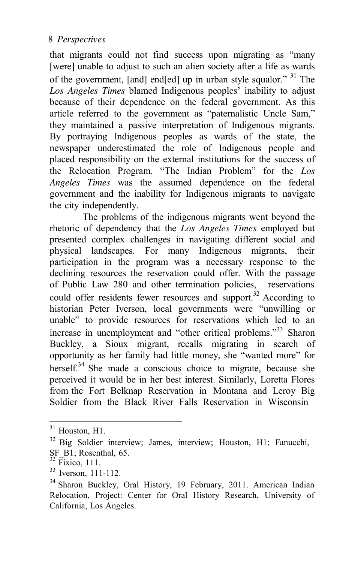that migrants could not find success upon migrating as "many [were] unable to adjust to such an alien society after a life as wards of the government, [and] end[ed] up in urban style squalor." 31 The *Los Angeles Times* blamed Indigenous peoples' inability to adjust because of their dependence on the federal government. As this article referred to the government as "paternalistic Uncle Sam," they maintained a passive interpretation of Indigenous migrants. By portraying Indigenous peoples as wards of the state, the newspaper underestimated the role of Indigenous people and placed responsibility on the external institutions for the success of the Relocation Program. "The Indian Problem" for the *Los Angeles Times* was the assumed dependence on the federal government and the inability for Indigenous migrants to navigate the city independently.

The problems of the indigenous migrants went beyond the rhetoric of dependency that the *Los Angeles Times* employed but presented complex challenges in navigating different social and physical landscapes. For many Indigenous migrants, their participation in the program was a necessary response to the declining resources the reservation could offer. With the passage of Public Law 280 and other termination policies, reservations could offer residents fewer resources and support.<sup>32</sup> According to historian Peter Iverson, local governments were "unwilling or unable" to provide resources for reservations which led to an increase in unemployment and "other critical problems."<sup>33</sup> Sharon Buckley, a Sioux migrant, recalls migrating in search of opportunity as her family had little money, she "wanted more" for herself.<sup>34</sup> She made a conscious choice to migrate, because she perceived it would be in her best interest. Similarly, Loretta Flores from the Fort Belknap Reservation in Montana and Leroy Big Soldier from the Black River Falls Reservation in Wisconsin

 $31$  Houston, H1.<br> $32$  Big Soldier interview; James, interview; Houston, H1; Fanucchi,  $SF$ <sup>B1</sup>; Rosenthal, 65.<br><sup>32</sup> Fixico, 111.

<sup>&</sup>lt;sup>33</sup> Iverson, 111-112.<br><sup>34</sup> Sharon Buckley, Oral History, 19 February, 2011. American Indian Relocation, Project: Center for Oral History Research, University of California, Los Angeles.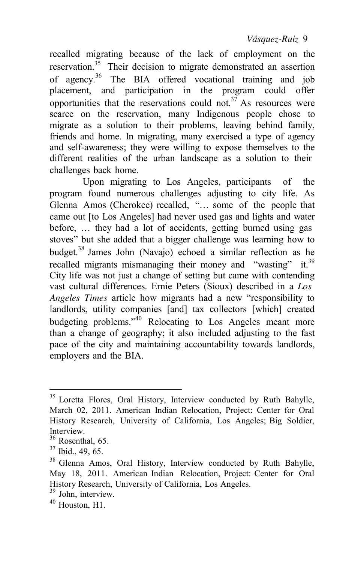*Vásquez-Ruiz* 9

recalled migrating because of the lack of employment on the reservation.<sup>35</sup> Their decision to migrate demonstrated an assertion of agency.36 The BIA offered vocational training and job placement, and participation in the program could offer opportunities that the reservations could not.<sup>37</sup> As resources were scarce on the reservation, many Indigenous people chose to migrate as a solution to their problems, leaving behind family, friends and home. In migrating, many exercised a type of agency and self-awareness; they were willing to expose themselves to the different realities of the urban landscape as a solution to their challenges back home.

Upon migrating to Los Angeles, participants of the program found numerous challenges adjusting to city life. As Glenna Amos (Cherokee) recalled, "… some of the people that came out [to Los Angeles] had never used gas and lights and water before, … they had a lot of accidents, getting burned using gas stoves" but she added that a bigger challenge was learning how to budget.38 James John (Navajo) echoed a similar reflection as he recalled migrants mismanaging their money and "wasting" it.<sup>39</sup> City life was not just a change of setting but came with contending vast cultural differences. Ernie Peters (Sioux) described in a *Los Angeles Times* article how migrants had a new "responsibility to landlords, utility companies [and] tax collectors [which] created budgeting problems."<sup>40</sup> Relocating to Los Angeles meant more than a change of geography; it also included adjusting to the fast pace of the city and maintaining accountability towards landlords, employers and the BIA.

<sup>&</sup>lt;sup>35</sup> Loretta Flores, Oral History, Interview conducted by Ruth Bahylle, March 02, 2011. American Indian Relocation, Project: Center for Oral History Research, University of California, Los Angeles; Big Soldier, Interview.

 $\frac{36}{37}$  Rosenthal, 65.<br> $\frac{37}{37}$  Ibid., 49, 65.

<sup>38</sup> Glenna Amos, Oral History, Interview conducted by Ruth Bahylle, May 18, 2011. American Indian Relocation, Project: Center for Oral History Research, University of California, Los Angeles. 39 John, interview. 40 Houston, H1.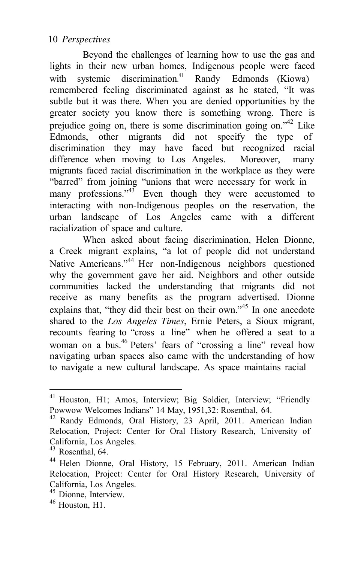Beyond the challenges of learning how to use the gas and lights in their new urban homes, Indigenous people were faced with systemic discrimination.<sup>41</sup> Randy Edmonds (Kiowa) remembered feeling discriminated against as he stated, "It was subtle but it was there. When you are denied opportunities by the greater society you know there is something wrong. There is prejudice going on, there is some discrimination going on.<sup> $42$ </sup> Like Edmonds, other migrants did not specify the type of discrimination they may have faced but recognized racial difference when moving to Los Angeles. Moreover, many migrants faced racial discrimination in the workplace as they were "barred" from joining "unions that were necessary for work in many professions."<sup>43</sup> Even though they were accustomed to interacting with non-Indigenous peoples on the reservation, the urban landscape of Los Angeles came with a different racialization of space and culture.

When asked about facing discrimination, Helen Dionne, a Creek migrant explains, "a lot of people did not understand Native Americans."<sup>44</sup> Her non-Indigenous neighbors questioned why the government gave her aid. Neighbors and other outside communities lacked the understanding that migrants did not receive as many benefits as the program advertised. Dionne explains that, "they did their best on their own."<sup>45</sup> In one anecdote shared to the *Los Angeles Times*, Ernie Peters, a Sioux migrant, recounts fearing to "cross a line" when he offered a seat to a woman on a bus.<sup>46</sup> Peters' fears of "crossing a line" reveal how navigating urban spaces also came with the understanding of how to navigate a new cultural landscape. As space maintains racial

<sup>&</sup>lt;sup>41</sup> Houston, H1; Amos, Interview; Big Soldier, Interview; "Friendly Powwow Welcomes Indians" 14 May, 1951,32: Rosenthal, 64. 42 Randy Edmonds, Oral History, 23 April, 2011. American Indian

Relocation, Project: Center for Oral History Research, University of California, Los Angeles.

 $43$  Rosenthal, 64.

<sup>44</sup> Helen Dionne, Oral History, 15 February, 2011. American Indian Relocation, Project: Center for Oral History Research, University of California, Los Angeles.

<sup>&</sup>lt;sup>45</sup> Dionne, Interview.<br><sup>46</sup> Houston, H1.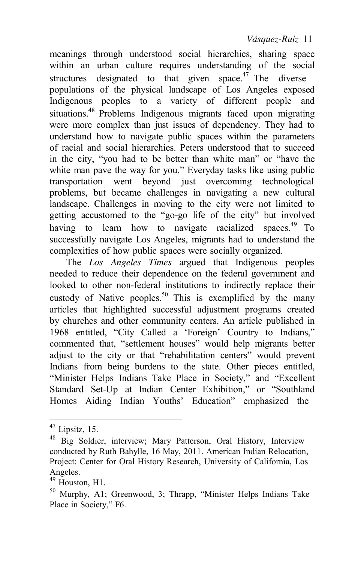meanings through understood social hierarchies, sharing space within an urban culture requires understanding of the social structures designated to that given space.<sup>47</sup> The diverse populations of the physical landscape of Los Angeles exposed Indigenous peoples to a variety of different people and situations.<sup>48</sup> Problems Indigenous migrants faced upon migrating were more complex than just issues of dependency. They had to understand how to navigate public spaces within the parameters of racial and social hierarchies. Peters understood that to succeed in the city, "you had to be better than white man" or "have the white man pave the way for you." Everyday tasks like using public transportation went beyond just overcoming technological problems, but became challenges in navigating a new cultural landscape. Challenges in moving to the city were not limited to getting accustomed to the "go-go life of the city" but involved having to learn how to navigate racialized spaces.<sup>49</sup> To successfully navigate Los Angeles, migrants had to understand the complexities of how public spaces were socially organized.

The *Los Angeles Times* argued that Indigenous peoples needed to reduce their dependence on the federal government and looked to other non-federal institutions to indirectly replace their custody of Native peoples.<sup>50</sup> This is exemplified by the many articles that highlighted successful adjustment programs created by churches and other community centers. An article published in 1968 entitled, "City Called a 'Foreign' Country to Indians," commented that, "settlement houses" would help migrants better adjust to the city or that "rehabilitation centers" would prevent Indians from being burdens to the state. Other pieces entitled, "Minister Helps Indians Take Place in Society," and "Excellent Standard Set-Up at Indian Center Exhibition," or "Southland Homes Aiding Indian Youths' Education" emphasized the

 $47$  Lipsitz, 15.

<sup>48</sup> Big Soldier, interview; Mary Patterson, Oral History, Interview conducted by Ruth Bahylle, 16 May, 2011. American Indian Relocation, Project: Center for Oral History Research, University of California, Los Angeles.<br><sup>49</sup> Houston, H1.

 $50$  Murphy, A1: Greenwood, 3; Thrapp, "Minister Helps Indians Take Place in Society," F6.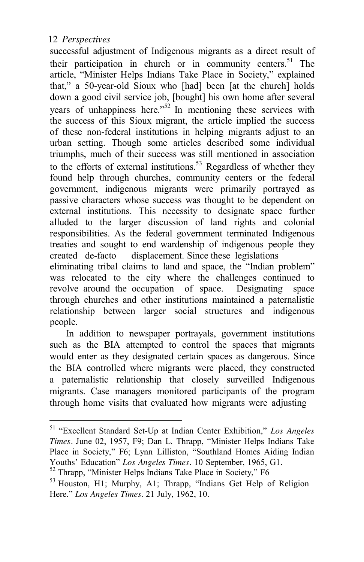people.

successful adjustment of Indigenous migrants as a direct result of their participation in church or in community centers.<sup>51</sup> The article, "Minister Helps Indians Take Place in Society," explained that," a 50-year-old Sioux who [had] been [at the church] holds down a good civil service job, [bought] his own home after several years of unhappiness here.<sup> $52$ </sup> In mentioning these services with the success of this Sioux migrant, the article implied the success of these non-federal institutions in helping migrants adjust to an urban setting. Though some articles described some individual triumphs, much of their success was still mentioned in association to the efforts of external institutions.<sup>53</sup> Regardless of whether they found help through churches, community centers or the federal government, indigenous migrants were primarily portrayed as passive characters whose success was thought to be dependent on external institutions. This necessity to designate space further alluded to the larger discussion of land rights and colonial responsibilities. As the federal government terminated Indigenous treaties and sought to end wardenship of indigenous people they created de-facto displacement. Since these legislations eliminating tribal claims to land and space, the "Indian problem" was relocated to the city where the challenges continued to revolve around the occupation of space. Designating space through churches and other institutions maintained a paternalistic relationship between larger social structures and indigenous

In addition to newspaper portrayals, government institutions such as the BIA attempted to control the spaces that migrants would enter as they designated certain spaces as dangerous. Since the BIA controlled where migrants were placed, they constructed a paternalistic relationship that closely surveilled Indigenous migrants. Case managers monitored participants of the program through home visits that evaluated how migrants were adjusting

<sup>51</sup>"Excellent Standard Set-Up at Indian Center Exhibition," *Los Angeles Times.* June 02, 1957, F9; Dan L. Thrapp, "Minister Helps Indians Take Place in Society," F6; Lynn Lilliston, "Southland Homes Aiding Indian Youths' Education" *Los Angeles Times*. 10 September, 1965, G1.<br><sup>52</sup> Thrapp, "Minister Helps Indians Take Place in Society," F6

<sup>53</sup> Houston, H1; Murphy, A1; Thrapp, "Indians Get Help of Religion Here." *Los Angeles Times.* 21 July, 1962, 10.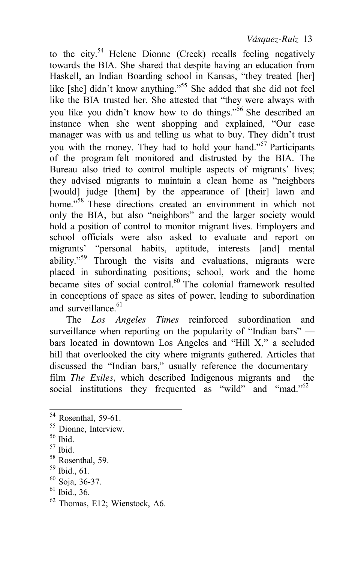to the city.<sup>54</sup> Helene Dionne (Creek) recalls feeling negatively towards the BIA. She shared that despite having an education from Haskell, an Indian Boarding school in Kansas, "they treated [her] like [she] didn't know anything."<sup>55</sup> She added that she did not feel like the BIA trusted her. She attested that "they were always with you like you didn't know how to do things."<sup>56</sup> She described an instance when she went shopping and explained, "Our case manager was with us and telling us what to buy. They didn't trust you with the money. They had to hold your hand."<sup>57</sup> Participants of the program felt monitored and distrusted by the BIA. The Bureau also tried to control multiple aspects of migrants' lives; they advised migrants to maintain a clean home as "neighbors [would] judge [them] by the appearance of [their] lawn and home."<sup>58</sup> These directions created an environment in which not only the BIA, but also "neighbors" and the larger society would hold a position of control to monitor migrant lives. Employers and school officials were also asked to evaluate and report on migrants' "personal habits, aptitude, interests [and] mental ability."<sup>59</sup> Through the visits and evaluations, migrants were placed in subordinating positions; school, work and the home became sites of social control.<sup>60</sup> The colonial framework resulted in conceptions of space as sites of power, leading to subordination and surveillance  $61$ 

The *Los Angeles Times* reinforced subordination and surveillance when reporting on the popularity of "Indian bars" bars located in downtown Los Angeles and "Hill X," a secluded hill that overlooked the city where migrants gathered. Articles that discussed the "Indian bars," usually reference the documentary film *The Exiles,* which described Indigenous migrants and the social institutions they frequented as "wild" and "mad."<sup>62</sup>

 $61$  Ibid., 36.

<sup>&</sup>lt;sup>54</sup> Rosenthal, 59-61.<br><sup>55</sup> Dionne, Interview.<br><sup>56</sup> Ibid.<br><sup>57</sup> Ibid.<br><sup>58</sup> Rosenthal, 59.<br><sup>59</sup> Ibid., 61.<br><sup>60</sup> Soja, 36-37.

<sup>62</sup> Thomas, E12; Wienstock, A6.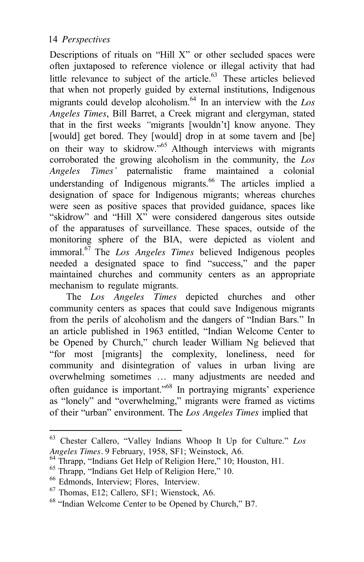Descriptions of rituals on "Hill X" or other secluded spaces were often juxtaposed to reference violence or illegal activity that had little relevance to subject of the article.<sup>63</sup> These articles believed that when not properly guided by external institutions, Indigenous migrants could develop alcoholism.<sup>64</sup> In an interview with the  $Los$ *Angeles Times*, Bill Barret, a Creek migrant and clergyman, stated that in the first weeks *"*migrants [wouldn't] know anyone. They [would] get bored. They [would] drop in at some tavern and [be] on their way to skidrow.<sup>565</sup> Although interviews with migrants corroborated the growing alcoholism in the community, the *Los Angeles Times'* paternalistic frame maintained a colonial understanding of Indigenous migrants. $^{66}$  The articles implied a designation of space for Indigenous migrants; whereas churches were seen as positive spaces that provided guidance, spaces like "skidrow" and "Hill X" were considered dangerous sites outside of the apparatuses of surveillance. These spaces, outside of the monitoring sphere of the BIA, were depicted as violent and immoral.67 The *Los Angeles Times* believed Indigenous peoples needed a designated space to find "success," and the paper maintained churches and community centers as an appropriate mechanism to regulate migrants.

The *Los Angeles Times* depicted churches and other community centers as spaces that could save Indigenous migrants from the perils of alcoholism and the dangers of "Indian Bars." In an article published in 1963 entitled, "Indian Welcome Center to be Opened by Church," church leader William Ng believed that "for most [migrants] the complexity, loneliness, need for community and disintegration of values in urban living are overwhelming sometimes … many adjustments are needed and often guidance is important."68 In portraying migrants' experience as "lonely" and "overwhelming," migrants were framed as victims of their "urban" environment. The *Los Angeles Times* implied that

<sup>63</sup> Chester Callero, "Valley Indians Whoop It Up for Culture." *Los*

<sup>&</sup>lt;sup>64</sup> Thrapp, "Indians Get Help of Religion Here," 10; Houston, H1.<br>
<sup>65</sup> Thrapp, "Indians Get Help of Religion Here," 10.<br>
<sup>66</sup> Edmonds, Interview; Flores, Interview.<br>
<sup>67</sup> Thomas, E12; Callero, SF1; Wienstock, A6.<br>
<sup>68</sup>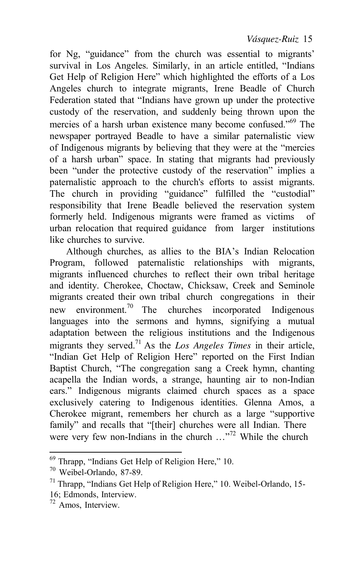for Ng, "guidance" from the church was essential to migrants' survival in Los Angeles. Similarly, in an article entitled, "Indians Get Help of Religion Here" which highlighted the efforts of a Los Angeles church to integrate migrants, Irene Beadle of Church Federation stated that "Indians have grown up under the protective custody of the reservation, and suddenly being thrown upon the mercies of a harsh urban existence many become confused."<sup>69</sup> The newspaper portrayed Beadle to have a similar paternalistic view of Indigenous migrants by believing that they were at the "mercies of a harsh urban" space. In stating that migrants had previously been "under the protective custody of the reservation" implies a paternalistic approach to the church's efforts to assist migrants. The church in providing "guidance" fulfilled the "custodial" responsibility that Irene Beadle believed the reservation system formerly held. Indigenous migrants were framed as victims of urban relocation that required guidance from larger institutions like churches to survive.

Although churches, as allies to the BIA's Indian Relocation Program, followed paternalistic relationships with migrants, migrants influenced churches to reflect their own tribal heritage and identity. Cherokee, Choctaw, Chicksaw, Creek and Seminole migrants created their own tribal church congregations in their new environment.<sup>70</sup> The churches incorporated Indigenous languages into the sermons and hymns, signifying a mutual adaptation between the religious institutions and the Indigenous migrants they served.71 As the *Los Angeles Times* in their article, "Indian Get Help of Religion Here" reported on the First Indian Baptist Church, "The congregation sang a Creek hymn, chanting acapella the Indian words, a strange, haunting air to non-Indian ears." Indigenous migrants claimed church spaces as a space exclusively catering to Indigenous identities. Glenna Amos, a Cherokee migrant, remembers her church as a large "supportive family" and recalls that "[their] churches were all Indian. There were very few non-Indians in the church ..."<sup>72</sup> While the church

<sup>&</sup>lt;sup>69</sup> Thrapp, "Indians Get Help of Religion Here," 10.<br><sup>70</sup> Weibel-Orlando, 87-89.<br><sup>71</sup> Thrapp, "Indians Get Help of Religion Here," 10. Weibel-Orlando, 15-<br>16; Edmonds, Interview.

 $12$  Amos, Interview.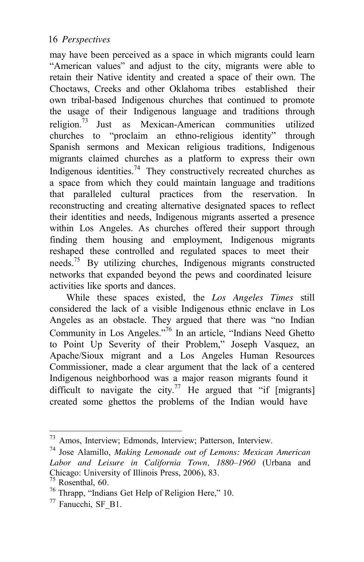may have been perceived as a space in which migrants could learn "American values" and adjust to the city, migrants were able to retain their Native identity and created a space of their own. The Choctaws, Creeks and other Oklahoma tribes established their own tribal-based Indigenous churches that continued to promote the usage of their Indigenous language and traditions through religion.73 Just as Mexican-American communities utilized churches to "proclaim an ethno-religious identity" through Spanish sermons and Mexican religious traditions, Indigenous migrants claimed churches as a platform to express their own Indigenous identities.<sup>74</sup> They constructively recreated churches as a space from which they could maintain language and traditions that paralleled cultural practices from the reservation. In reconstructing and creating alternative designated spaces to reflect their identities and needs, Indigenous migrants asserted a presence within Los Angeles. As churches offered their support through finding them housing and employment, Indigenous migrants reshaped these controlled and regulated spaces to meet their needs.<sup>75</sup> By utilizing churches, Indigenous migrants constructed networks that expanded beyond the pews and coordinated leisure activities like sports and dances.

While these spaces existed, the *Los Angeles Times* still considered the lack of a visible Indigenous ethnic enclave in Los Angeles as an obstacle. They argued that there was "no Indian Community in Los Angeles."76 In an article, "Indians Need Ghetto to Point Up Severity of their Problem," Joseph Vasquez, an Apache/Sioux migrant and a Los Angeles Human Resources Commissioner, made a clear argument that the lack of a centered Indigenous neighborhood was a major reason migrants found it difficult to navigate the city.<sup>77</sup> He argued that "if [migrants] created some ghettos the problems of the Indian would have

<sup>73</sup> Amos, Interview; Edmonds, Interview; Patterson, Interview. 74 Jose Alamillo, *Making Lemonade out of Lemons: Mexican American Labor and Leisure in California Town, 1880–1960* (Urbana and Chicago: University of Illinois Press, 2006), 83.<br><sup>75</sup> Rosenthal, 60.<br><sup>76</sup> Thrapp, "Indians Get Help of Religion Here," 10.<br><sup>77</sup> Fanucchi, SF<sub>\_</sub>B1.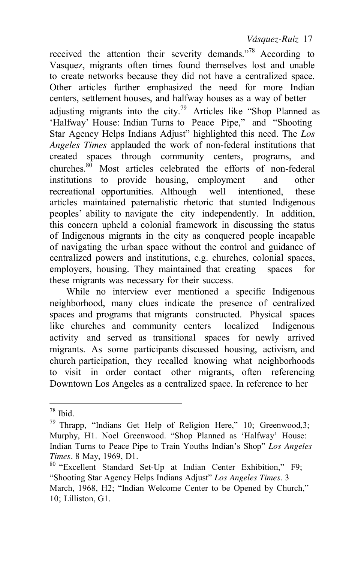received the attention their severity demands."<sup>78</sup> According to Vasquez, migrants often times found themselves lost and unable to create networks because they did not have a centralized space. Other articles further emphasized the need for more Indian centers, settlement houses, and halfway houses as a way of better adjusting migrants into the city.<sup>79</sup> Articles like "Shop Planned as 'Halfway' House: Indian Turns to Peace Pipe," and "Shooting Star Agency Helps Indians Adjust" highlighted this need. The *Los Angeles Times* applauded the work of non-federal institutions that created spaces through community centers, programs, and churches.80 Most articles celebrated the efforts of non-federal institutions to provide housing, employment and other recreational opportunities. Although well intentioned, these articles maintained paternalistic rhetoric that stunted Indigenous peoples' ability to navigate the city independently. In addition, this concern upheld a colonial framework in discussing the status of Indigenous migrants in the city as conquered people incapable of navigating the urban space without the control and guidance of centralized powers and institutions, e.g. churches, colonial spaces, employers, housing. They maintained that creating spaces for these migrants was necessary for their success.

While no interview ever mentioned a specific Indigenous neighborhood, many clues indicate the presence of centralized spaces and programs that migrants constructed. Physical spaces like churches and community centers localized Indigenous activity and served as transitional spaces for newly arrived migrants. As some participants discussed housing, activism, and church participation, they recalled knowing what neighborhoods to visit in order contact other migrants, often referencing Downtown Los Angeles as a centralized space. In reference to her

<sup>&</sup>lt;sup>78</sup> Ibid.<br><sup>79</sup> Thrapp, "Indians Get Help of Religion Here," 10; Greenwood,3; Murphy, H1. Noel Greenwood. "Shop Planned as 'Halfway' House: Indian Turns to Peace Pipe to Train Youths Indian's Shop" *Los Angeles Times.* 8 May, 1969, D1.<br><sup>80</sup> "Excellent Standard Set-Up at Indian Center Exhibition," F9;

<sup>&</sup>quot;Shooting Star Agency Helps Indians Adjust" *Los Angeles Times.* 3 March, 1968, H2; "Indian Welcome Center to be Opened by Church," 10; Lilliston, G1.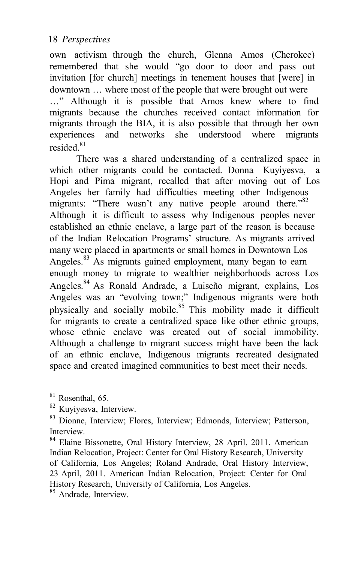own activism through the church, Glenna Amos (Cherokee) remembered that she would "go door to door and pass out invitation [for church] meetings in tenement houses that [were] in downtown … where most of the people that were brought out were

…" Although it is possible that Amos knew where to find migrants because the churches received contact information for migrants through the BIA, it is also possible that through her own experiences and networks she understood where migrants resided $81$ 

There was a shared understanding of a centralized space in which other migrants could be contacted. Donna Kuvivesva, a Hopi and Pima migrant, recalled that after moving out of Los Angeles her family had difficulties meeting other Indigenous migrants: "There wasn't any native people around there."<sup>82</sup> Although it is difficult to assess why Indigenous peoples never established an ethnic enclave, a large part of the reason is because of the Indian Relocation Programs' structure. As migrants arrived many were placed in apartments or small homes in Downtown Los Angeles.<sup>83</sup> As migrants gained employment, many began to earn enough money to migrate to wealthier neighborhoods across Los Angeles.84 As Ronald Andrade, a Luiseño migrant, explains, Los Angeles was an "evolving town;" Indigenous migrants were both physically and socially mobile.<sup>85</sup> This mobility made it difficult for migrants to create a centralized space like other ethnic groups, whose ethnic enclave was created out of social immobility. Although a challenge to migrant success might have been the lack of an ethnic enclave, Indigenous migrants recreated designated space and created imagined communities to best meet their needs.

 $81$  Rosenthal, 65.<br> $82$  Kuvivesva, Interview.

<sup>&</sup>lt;sup>83</sup> Dionne, Interview; Flores, Interview; Edmonds, Interview; Patterson, Interview.

<sup>84</sup> Elaine Bissonette, Oral History Interview, 28 April, 2011. American Indian Relocation, Project: Center for Oral History Research, University of California, Los Angeles; Roland Andrade, Oral History Interview, 23 April, 2011. American Indian Relocation, Project: Center for Oral History Research, University of California, Los Angeles. 85 Andrade, Interview.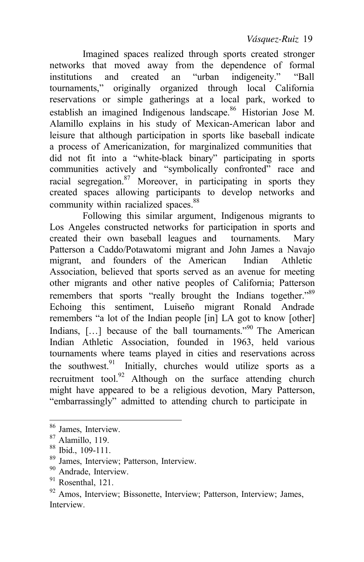Imagined spaces realized through sports created stronger networks that moved away from the dependence of formal institutions and created an "urban indigeneity." "Ball tournaments," originally organized through local California reservations or simple gatherings at a local park, worked to establish an imagined Indigenous landscape.<sup>86</sup> Historian Jose M. Alamillo explains in his study of Mexican-American labor and leisure that although participation in sports like baseball indicate a process of Americanization, for marginalized communities that did not fit into a "white-black binary" participating in sports communities actively and "symbolically confronted" race and racial segregation. $87$  Moreover, in participating in sports they created spaces allowing participants to develop networks and community within racialized spaces.<sup>88</sup>

Following this similar argument, Indigenous migrants to Los Angeles constructed networks for participation in sports and created their own baseball leagues and tournaments. Mary Patterson a Caddo/Potawatomi migrant and John James a Navajo migrant, and founders of the American Indian Athletic Association, believed that sports served as an avenue for meeting other migrants and other native peoples of California; Patterson remembers that sports "really brought the Indians together."<sup>89</sup> Echoing this sentiment, Luiseño migrant Ronald Andrade remembers "a lot of the Indian people [in] LA got to know [other] Indians,  $[\dots]$  because of the ball tournaments."<sup>90</sup> The American Indian Athletic Association, founded in 1963, held various tournaments where teams played in cities and reservations across the southwest. $91$  Initially, churches would utilize sports as a recruitment tool. $92$  Although on the surface attending church might have appeared to be a religious devotion, Mary Patterson, "embarrassingly" admitted to attending church to participate in

<sup>&</sup>lt;sup>86</sup> James, Interview.<br><sup>87</sup> Alamillo, 119.<br><sup>88</sup> Ibid., 109-111.<br><sup>89</sup> James, Interview; Patterson, Interview.<br><sup>90</sup> Andrade, Interview.<br><sup>91</sup> Rosenthal, 121.<br><sup>92</sup> Amos, Interview; Bissonette, Interview; Patterson, Interview; Interview.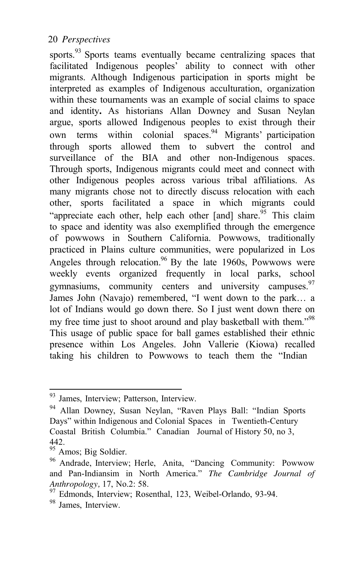sports. $93$  Sports teams eventually became centralizing spaces that facilitated Indigenous peoples' ability to connect with other migrants. Although Indigenous participation in sports might be interpreted as examples of Indigenous acculturation, organization within these tournaments was an example of social claims to space and identity**.** As historians Allan Downey and Susan Neylan argue, sports allowed Indigenous peoples to exist through their own terms within colonial spaces.<sup>94</sup> Migrants' participation through sports allowed them to subvert the control and surveillance of the BIA and other non-Indigenous spaces. Through sports, Indigenous migrants could meet and connect with other Indigenous peoples across various tribal affiliations. As many migrants chose not to directly discuss relocation with each other, sports facilitated a space in which migrants could "appreciate each other, help each other [and] share.<sup>95</sup> This claim to space and identity was also exemplified through the emergence of powwows in Southern California. Powwows, traditionally practiced in Plains culture communities, were popularized in Los Angeles through relocation.<sup>96</sup> By the late 1960s, Powwows were weekly events organized frequently in local parks, school gymnasiums, community centers and university campuses.<sup>97</sup> James John (Navajo) remembered, "I went down to the park… a lot of Indians would go down there. So I just went down there on my free time just to shoot around and play basketball with them."<sup>98</sup> This usage of public space for ball games established their ethnic presence within Los Angeles. John Vallerie (Kiowa) recalled taking his children to Powwows to teach them the "Indian

<sup>&</sup>lt;sup>93</sup> James, Interview; Patterson, Interview.<br><sup>94</sup> Allan Downey, Susan Neylan, "Raven Plays Ball: "Indian Sports Days" within Indigenous and Colonial Spaces in Twentieth-Century Coastal British Columbia." Canadian Journal of History 50, no 3,  $^{442}_{95}$  Amos; Big Soldier.

<sup>&</sup>lt;sup>96</sup> Andrade, Interview; Herle, Anita, "Dancing Community: Powwow and Pan-Indiansim in North America." *The Cambridge Journal of*

*Anthropology, 17, No.2: 58.* 97 Edmonds, Interview; Rosenthal, 123, Weibel-Orlando, 93-94. 98 James, Interview.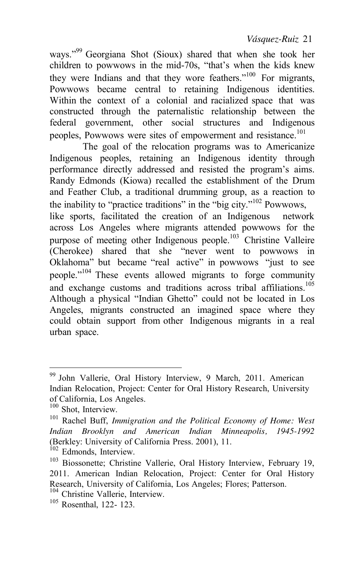ways."<sup>99</sup> Georgiana Shot (Sioux) shared that when she took her children to powwows in the mid-70s, "that's when the kids knew they were Indians and that they wore feathers."<sup>100</sup> For migrants, Powwows became central to retaining Indigenous identities. Within the context of a colonial and racialized space that was constructed through the paternalistic relationship between the federal government, other social structures and Indigenous peoples, Powwows were sites of empowerment and resistance.<sup>101</sup>

The goal of the relocation programs was to Americanize Indigenous peoples, retaining an Indigenous identity through performance directly addressed and resisted the program's aims. Randy Edmonds (Kiowa) recalled the establishment of the Drum and Feather Club, a traditional drumming group, as a reaction to the inability to "practice traditions" in the "big city."102 Powwows, like sports, facilitated the creation of an Indigenous network across Los Angeles where migrants attended powwows for the purpose of meeting other Indigenous people.<sup>103</sup> Christine Valleire (Cherokee) shared that she "never went to powwows in Oklahoma" but became "real active" in powwows "just to see people."<sup>104</sup> These events allowed migrants to forge community and exchange customs and traditions across tribal affiliations.<sup>105</sup> Although a physical "Indian Ghetto" could not be located in Los Angeles, migrants constructed an imagined space where they could obtain support from other Indigenous migrants in a real urban space.

<sup>99</sup> John Vallerie, Oral History Interview, 9 March, 2011. American Indian Relocation, Project: Center for Oral History Research, University

of California, Los Angeles.<br><sup>100</sup> Shot, Interview.<br><sup>101</sup> Rachel Buff, *Immigration and the Political Economy of Home: West Indian Brooklyn and American Indian Minneapolis, 1945-1992* (Berkley: University of California Press. 2001), 11.<br><sup>102</sup> Edmonds, Interview.<br><sup>103</sup> Biossonette; Christine Vallerie, Oral History Interview, February 19,

<sup>2011.</sup> American Indian Relocation, Project: Center for Oral History Research, University of California, Los Angeles; Flores; Patterson.<br><sup>104</sup> Christine Vallerie, Interview.<br><sup>105</sup> Rosenthal. 122- 123.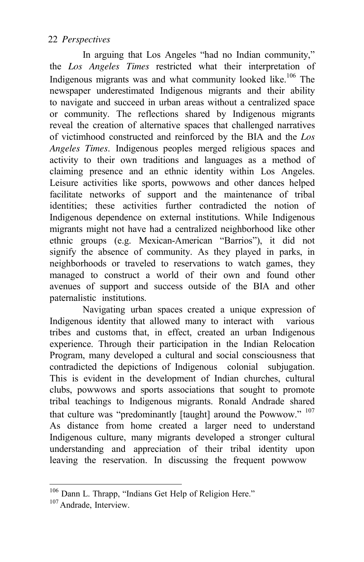In arguing that Los Angeles "had no Indian community," the *Los Angeles Times* restricted what their interpretation of Indigenous migrants was and what community looked like.<sup>106</sup> The newspaper underestimated Indigenous migrants and their ability to navigate and succeed in urban areas without a centralized space or community. The reflections shared by Indigenous migrants reveal the creation of alternative spaces that challenged narratives of victimhood constructed and reinforced by the BIA and the *Los Angeles Times*. Indigenous peoples merged religious spaces and activity to their own traditions and languages as a method of claiming presence and an ethnic identity within Los Angeles. Leisure activities like sports, powwows and other dances helped facilitate networks of support and the maintenance of tribal identities; these activities further contradicted the notion of Indigenous dependence on external institutions. While Indigenous migrants might not have had a centralized neighborhood like other ethnic groups (e.g. Mexican-American "Barrios"), it did not signify the absence of community. As they played in parks, in neighborhoods or traveled to reservations to watch games, they managed to construct a world of their own and found other avenues of support and success outside of the BIA and other paternalistic institutions.

Navigating urban spaces created a unique expression of Indigenous identity that allowed many to interact with various tribes and customs that, in effect, created an urban Indigenous experience. Through their participation in the Indian Relocation Program, many developed a cultural and social consciousness that contradicted the depictions of Indigenous colonial subjugation. This is evident in the development of Indian churches, cultural clubs, powwows and sports associations that sought to promote tribal teachings to Indigenous migrants. Ronald Andrade shared that culture was "predominantly [taught] around the Powwow." <sup>107</sup> As distance from home created a larger need to understand Indigenous culture, many migrants developed a stronger cultural understanding and appreciation of their tribal identity upon leaving the reservation. In discussing the frequent powwow

<sup>&</sup>lt;sup>106</sup> Dann L. Thrapp, "Indians Get Help of Religion Here."

<sup>&</sup>lt;sup>107</sup> Andrade, Interview.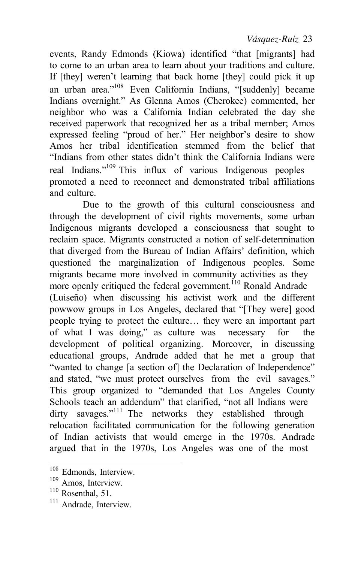events, Randy Edmonds (Kiowa) identified "that [migrants] had to come to an urban area to learn about your traditions and culture. If [they] weren't learning that back home [they] could pick it up an urban area."108 Even California Indians, "[suddenly] became Indians overnight." As Glenna Amos (Cherokee) commented, her neighbor who was a California Indian celebrated the day she received paperwork that recognized her as a tribal member; Amos expressed feeling "proud of her." Her neighbor's desire to show Amos her tribal identification stemmed from the belief that "Indians from other states didn't think the California Indians were real Indians."<sup>109</sup> This influx of various Indigenous peoples promoted a need to reconnect and demonstrated tribal affiliations and culture.

Due to the growth of this cultural consciousness and through the development of civil rights movements, some urban Indigenous migrants developed a consciousness that sought to reclaim space. Migrants constructed a notion of self-determination that diverged from the Bureau of Indian Affairs' definition, which questioned the marginalization of Indigenous peoples. Some migrants became more involved in community activities as they more openly critiqued the federal government.<sup>110</sup> Ronald Andrade (Luiseño) when discussing his activist work and the different powwow groups in Los Angeles, declared that "[They were] good people trying to protect the culture… they were an important part of what I was doing," as culture was necessary for the development of political organizing. Moreover, in discussing educational groups, Andrade added that he met a group that "wanted to change [a section of] the Declaration of Independence" and stated, "we must protect ourselves from the evil savages." This group organized to "demanded that Los Angeles County Schools teach an addendum" that clarified, "not all Indians were dirty savages."<sup>111</sup> The networks they established through relocation facilitated communication for the following generation of Indian activists that would emerge in the 1970s. Andrade argued that in the 1970s, Los Angeles was one of the most

<sup>&</sup>lt;sup>108</sup> Edmonds, Interview.<br><sup>109</sup> Amos, Interview.<br><sup>110</sup> Rosenthal, 51.

<sup>&</sup>lt;sup>111</sup> Andrade, Interview.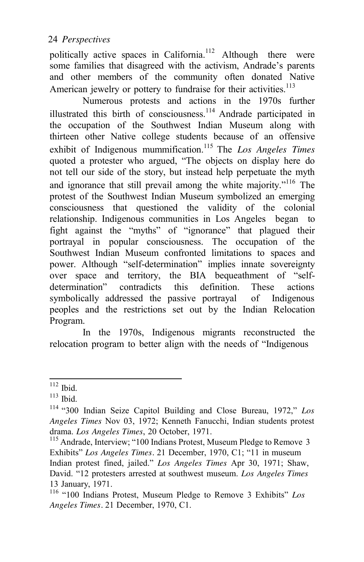politically active spaces in California.<sup>112</sup> Although there were some families that disagreed with the activism, Andrade's parents and other members of the community often donated Native American jewelry or pottery to fundraise for their activities.<sup>113</sup>

Numerous protests and actions in the 1970s further illustrated this birth of consciousness.<sup>114</sup> Andrade participated in the occupation of the Southwest Indian Museum along with thirteen other Native college students because of an offensive exhibit of Indigenous mummification.<sup>115</sup> The *Los Angeles Times* quoted a protester who argued, "The objects on display here do not tell our side of the story, but instead help perpetuate the myth and ignorance that still prevail among the white majority."<sup>116</sup> The protest of the Southwest Indian Museum symbolized an emerging consciousness that questioned the validity of the colonial relationship. Indigenous communities in Los Angeles began to fight against the "myths" of "ignorance" that plagued their portrayal in popular consciousness. The occupation of the Southwest Indian Museum confronted limitations to spaces and power. Although "self-determination" implies innate sovereignty over space and territory, the BIA bequeathment of "selfdetermination" contradicts this definition. These actions symbolically addressed the passive portrayal of Indigenous peoples and the restrictions set out by the Indian Relocation Program.

In the 1970s, Indigenous migrants reconstructed the relocation program to better align with the needs of "Indigenous

<sup>112</sup> Ibid. 113 Ibid. 114 "300 Indian Seize Capitol Building and Close Bureau, 1972," *Los Angeles Times* Nov 03, 1972; Kenneth Fanucchi, Indian students protest drama. *Los Angeles Times*, 20 October, 1971.<br><sup>115</sup> Andrade, Interview; "100 Indians Protest, Museum Pledge to Remove 3

Exhibits" *Los Angeles Times.* 21 December, 1970, C1; "11 in museum Indian protest fined, jailed." *Los Angeles Times* Apr 30, 1971; Shaw, David. "12 protesters arrested at southwest museum. *Los Angeles Times* 13 January, 1971. 116 "100 Indians Protest, Museum Pledge to Remove 3 Exhibits" *Los*

*Angeles Times.* 21 December, 1970, C1.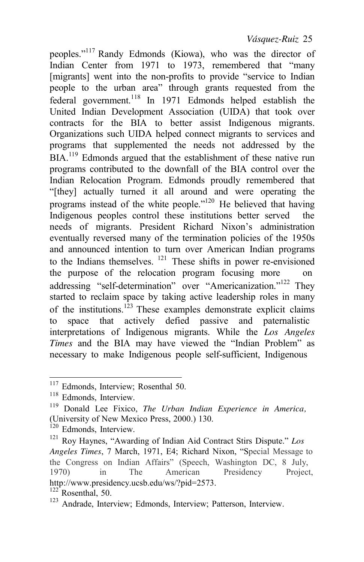peoples."117 Randy Edmonds (Kiowa), who was the director of Indian Center from 1971 to 1973, remembered that "many [migrants] went into the non-profits to provide "service to Indian people to the urban area" through grants requested from the federal government.<sup>118</sup> In 1971 Edmonds helped establish the United Indian Development Association (UIDA) that took over contracts for the BIA to better assist Indigenous migrants. Organizations such UIDA helped connect migrants to services and programs that supplemented the needs not addressed by the BIA.<sup>119</sup> Edmonds argued that the establishment of these native run programs contributed to the downfall of the BIA control over the Indian Relocation Program. Edmonds proudly remembered that "[they] actually turned it all around and were operating the programs instead of the white people."<sup>120</sup> He believed that having Indigenous peoples control these institutions better served the needs of migrants. President Richard Nixon's administration eventually reversed many of the termination policies of the 1950s and announced intention to turn over American Indian programs to the Indians themselves.  $121$  These shifts in power re-envisioned the purpose of the relocation program focusing more on addressing "self-determination" over "Americanization."<sup>122</sup> They started to reclaim space by taking active leadership roles in many of the institutions.<sup>123</sup> These examples demonstrate explicit claims to space that actively defied passive and paternalistic interpretations of Indigenous migrants. While the *Los Angeles Times* and the BIA may have viewed the "Indian Problem" as necessary to make Indigenous people self-sufficient, Indigenous

 $117$  Edmonds, Interview; Rosenthal 50.<br> $118$  Edmonds, Interview.

<sup>&</sup>lt;sup>119</sup> Donald Lee Fixico, *The Urban Indian Experience in America*, (University of New Mexico Press, 2000.) 130. 120 Edmonds, Interview. 121 Roy Haynes, "Awarding of Indian Aid Contract Stirs Dispute." *Los* 

*Angeles Times*, 7 March, 1971, E4; Richard Nixon, "Special Message to the Congress on Indian Affairs" (Speech, Washington DC, 8 July, 1970) in The American Presidency Project, [http://www.presidency.ucsb.edu/ws/?pid=2573.](http://www.presidency.ucsb.edu/ws/?pid=2573)   $122$ <sup>2</sup> Rosenthal, 50.

<sup>123</sup> Andrade, Interview; Edmonds, Interview; Patterson, Interview.